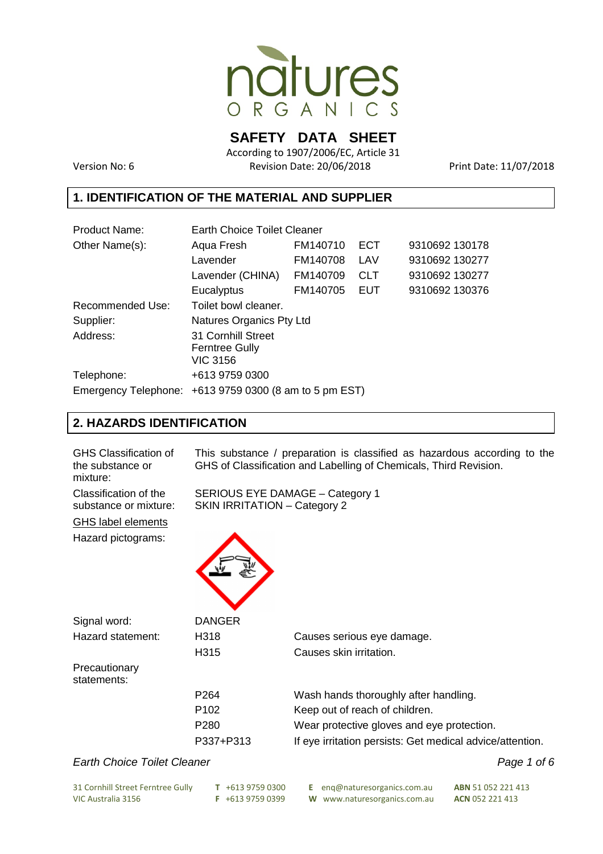

**SAFETY DATA SHEET** 

According to 1907/2006/EC, Article 31 Version No: 6 Revision Date: 20/06/2018 Print Date: 11/07/2018

## **1. IDENTIFICATION OF THE MATERIAL AND SUPPLIER**

| <b>Product Name:</b> | <b>Earth Choice Toilet Cleaner</b>                             |          |            |                |  |  |  |
|----------------------|----------------------------------------------------------------|----------|------------|----------------|--|--|--|
| Other Name(s):       | Aqua Fresh                                                     | FM140710 | <b>ECT</b> | 9310692 130178 |  |  |  |
|                      | Lavender                                                       | FM140708 | LAV        | 9310692 130277 |  |  |  |
|                      | Lavender (CHINA)                                               | FM140709 | <b>CLT</b> | 9310692 130277 |  |  |  |
|                      | Eucalyptus                                                     | FM140705 | EUT        | 9310692 130376 |  |  |  |
| Recommended Use:     | Toilet bowl cleaner.                                           |          |            |                |  |  |  |
| Supplier:            | Natures Organics Pty Ltd                                       |          |            |                |  |  |  |
| Address:             | 31 Cornhill Street<br><b>Ferntree Gully</b><br><b>VIC 3156</b> |          |            |                |  |  |  |
| Telephone:           | +613 9759 0300                                                 |          |            |                |  |  |  |
|                      | Emergency Telephone: $+61397590300$ (8 am to 5 pm EST)         |          |            |                |  |  |  |

# **2. HAZARDS IDENTIFICATION**

| <b>GHS Classification of</b><br>the substance or<br>mixture: | This substance / preparation is classified as hazardous according to the<br>GHS of Classification and Labelling of Chemicals, Third Revision. |                                                                        |  |  |  |  |  |
|--------------------------------------------------------------|-----------------------------------------------------------------------------------------------------------------------------------------------|------------------------------------------------------------------------|--|--|--|--|--|
| Classification of the<br>substance or mixture:               |                                                                                                                                               | SERIOUS EYE DAMAGE - Category 1<br><b>SKIN IRRITATION - Category 2</b> |  |  |  |  |  |
| <b>GHS label elements</b>                                    |                                                                                                                                               |                                                                        |  |  |  |  |  |
| Hazard pictograms:                                           |                                                                                                                                               |                                                                        |  |  |  |  |  |
| Signal word:                                                 | <b>DANGER</b>                                                                                                                                 |                                                                        |  |  |  |  |  |
| Hazard statement:                                            | H318                                                                                                                                          | Causes serious eye damage.                                             |  |  |  |  |  |
|                                                              | H315                                                                                                                                          | Causes skin irritation.                                                |  |  |  |  |  |
| Precautionary<br>statements:                                 |                                                                                                                                               |                                                                        |  |  |  |  |  |
|                                                              | P <sub>264</sub>                                                                                                                              | Wash hands thoroughly after handling.                                  |  |  |  |  |  |
|                                                              | P <sub>102</sub>                                                                                                                              | Keep out of reach of children.                                         |  |  |  |  |  |
|                                                              | P280                                                                                                                                          | Wear protective gloves and eye protection.                             |  |  |  |  |  |
|                                                              | P337+P313                                                                                                                                     | If eye irritation persists: Get medical advice/attention.              |  |  |  |  |  |
| Farth Choice Toilet Cleaner                                  |                                                                                                                                               | Page 1 of 6                                                            |  |  |  |  |  |

#### Earth Choice Toilet Cleaner

|  | Page 1 of 6 |  |  |  |
|--|-------------|--|--|--|
|--|-------------|--|--|--|

| 31 Cornhill Street Ferntree Gully | $T + 61397590300$ | <b>E</b> eng@naturesorganics.com.au | <b>ABN</b> 51 052 221 413 |
|-----------------------------------|-------------------|-------------------------------------|---------------------------|
| VIC Australia 3156                | $F + 61397590399$ | W www.naturesorganics.com.au        | <b>ACN 052 221 413</b>    |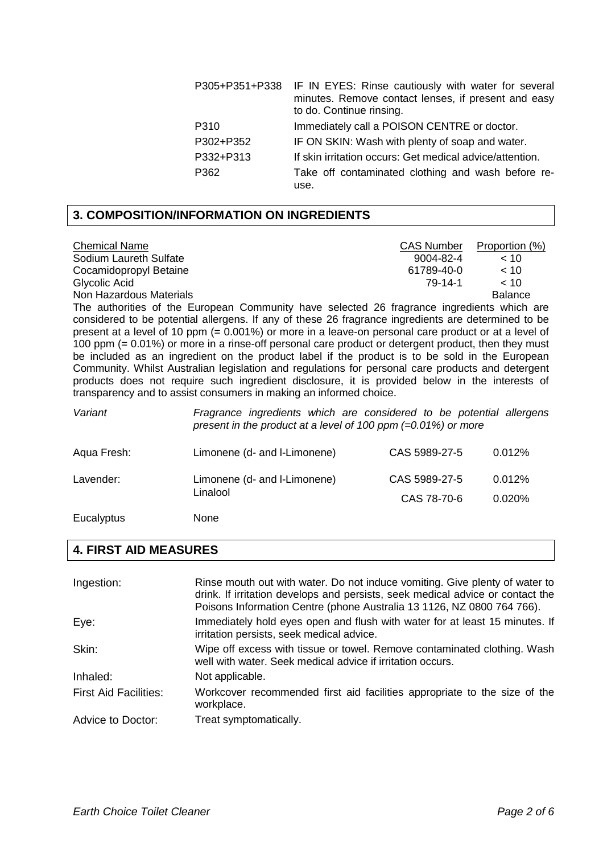| P305+P351+P338 | IF IN EYES: Rinse cautiously with water for several<br>minutes. Remove contact lenses, if present and easy<br>to do. Continue rinsing. |
|----------------|----------------------------------------------------------------------------------------------------------------------------------------|
| P310           | Immediately call a POISON CENTRE or doctor.                                                                                            |
| P302+P352      | IF ON SKIN: Wash with plenty of soap and water.                                                                                        |
| P332+P313      | If skin irritation occurs: Get medical advice/attention.                                                                               |
| P362           | Take off contaminated clothing and wash before re-<br>use.                                                                             |

## **3. COMPOSITION/INFORMATION ON INGREDIENTS**

| <b>Chemical Name</b>    | <b>CAS Number</b> | Proportion (%) |
|-------------------------|-------------------|----------------|
| Sodium Laureth Sulfate  | 9004-82-4         | ~10            |
| Cocamidopropyl Betaine  | 61789-40-0        | ~< 10          |
| Glycolic Acid           | 79-14-1           | ~10            |
| Non Hazardous Materials |                   | <b>Balance</b> |

The authorities of the European Community have selected 26 fragrance ingredients which are considered to be potential allergens. If any of these 26 fragrance ingredients are determined to be present at a level of 10 ppm (= 0.001%) or more in a leave-on personal care product or at a level of 100 ppm (= 0.01%) or more in a rinse-off personal care product or detergent product, then they must be included as an ingredient on the product label if the product is to be sold in the European Community. Whilst Australian legislation and regulations for personal care products and detergent products does not require such ingredient disclosure, it is provided below in the interests of transparency and to assist consumers in making an informed choice.

| Variant     | Fragrance ingredients which are considered to be potential allergens<br>present in the product at a level of 100 ppm $(=0.01\%)$ or more |               |        |  |  |  |
|-------------|------------------------------------------------------------------------------------------------------------------------------------------|---------------|--------|--|--|--|
| Aqua Fresh: | Limonene (d- and I-Limonene)                                                                                                             | CAS 5989-27-5 | 0.012% |  |  |  |
| Lavender:   | Limonene (d- and I-Limonene)                                                                                                             | CAS 5989-27-5 | 0.012% |  |  |  |

Linalool CAS 78-70-6 0.020%

Eucalyptus None

# **4. FIRST AID MEASURES**

| Ingestion:                   | Rinse mouth out with water. Do not induce vomiting. Give plenty of water to<br>drink. If irritation develops and persists, seek medical advice or contact the<br>Poisons Information Centre (phone Australia 13 1126, NZ 0800 764 766). |
|------------------------------|-----------------------------------------------------------------------------------------------------------------------------------------------------------------------------------------------------------------------------------------|
| Eye:                         | Immediately hold eyes open and flush with water for at least 15 minutes. If<br>irritation persists, seek medical advice.                                                                                                                |
| Skin:                        | Wipe off excess with tissue or towel. Remove contaminated clothing. Wash<br>well with water. Seek medical advice if irritation occurs.                                                                                                  |
| Inhaled:                     | Not applicable.                                                                                                                                                                                                                         |
| <b>First Aid Facilities:</b> | Workcover recommended first aid facilities appropriate to the size of the<br>workplace.                                                                                                                                                 |
| Advice to Doctor:            | Treat symptomatically.                                                                                                                                                                                                                  |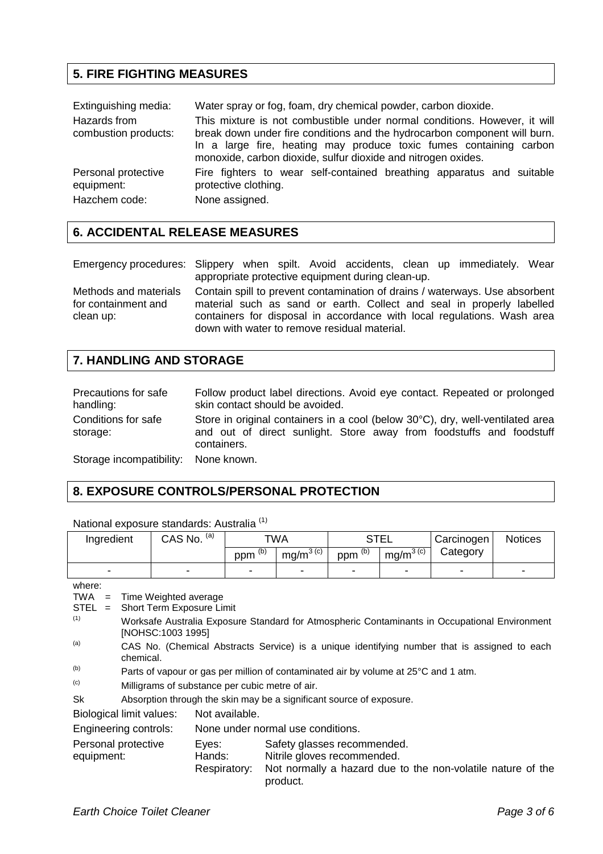# **5. FIRE FIGHTING MEASURES**

| Extinguishing media:                 | Water spray or fog, foam, dry chemical powder, carbon dioxide.                                                                                                                                                                                                                                |  |  |  |  |  |  |  |
|--------------------------------------|-----------------------------------------------------------------------------------------------------------------------------------------------------------------------------------------------------------------------------------------------------------------------------------------------|--|--|--|--|--|--|--|
| Hazards from<br>combustion products: | This mixture is not combustible under normal conditions. However, it will<br>break down under fire conditions and the hydrocarbon component will burn.<br>In a large fire, heating may produce toxic fumes containing carbon<br>monoxide, carbon dioxide, sulfur dioxide and nitrogen oxides. |  |  |  |  |  |  |  |
| Personal protective<br>equipment:    | Fire fighters to wear self-contained breathing apparatus and suitable<br>protective clothing.                                                                                                                                                                                                 |  |  |  |  |  |  |  |
| Hazchem code:                        | None assigned.                                                                                                                                                                                                                                                                                |  |  |  |  |  |  |  |

## **6. ACCIDENTAL RELEASE MEASURES**

| Emergency procedures: Slippery when spilt. Avoid accidents, clean up immediately. Wear             |  |  |                                                   |  |  |
|----------------------------------------------------------------------------------------------------|--|--|---------------------------------------------------|--|--|
|                                                                                                    |  |  | appropriate protective equipment during clean-up. |  |  |
| Methods and materials Contain spill to prevent contamination of drains / waterways I lse absorbent |  |  |                                                   |  |  |

Methods and materials for containment and clean up: Contain spill to prevent contamination of drains / waterways. Use absorbent material such as sand or earth. Collect and seal in properly labelled containers for disposal in accordance with local regulations. Wash area down with water to remove residual material.

# **7. HANDLING AND STORAGE**

| Precautions for safe<br>handling:    | Follow product label directions. Avoid eye contact. Repeated or prolonged<br>skin contact should be avoided.                                                          |
|--------------------------------------|-----------------------------------------------------------------------------------------------------------------------------------------------------------------------|
| Conditions for safe<br>storage:      | Store in original containers in a cool (below 30°C), dry, well-ventilated area<br>and out of direct sunlight. Store away from foodstuffs and foodstuff<br>containers. |
| Storage incompatibility: None known. |                                                                                                                                                                       |

## **8. EXPOSURE CONTROLS/PERSONAL PROTECTION**

National exposure standards: Australia<sup>(1)</sup>

| Ingredient               | (a)<br>CAS No.           | TWA        |                           | <b>STEL</b>          |               | Carcinogen               | <b>Notices</b> |
|--------------------------|--------------------------|------------|---------------------------|----------------------|---------------|--------------------------|----------------|
|                          |                          | (b)<br>ppm | $mq/m^{3}$ <sup>(c)</sup> | $ppm$ <sup>(b)</sup> | $mq/m^{3(c)}$ | Category                 |                |
| $\overline{\phantom{0}}$ | $\overline{\phantom{0}}$ |            |                           |                      |               | $\overline{\phantom{0}}$ |                |

where:

TWA = Time Weighted average

STEL = Short Term Exposure Limit

- (1) Worksafe Australia Exposure Standard for Atmospheric Contaminants in Occupational Environment [NOHSC:1003 1995]
- (a) CAS No. (Chemical Abstracts Service) is a unique identifying number that is assigned to each chemical.
- (b) Parts of vapour or gas per million of contaminated air by volume at 25°C and 1 atm.
- (c) Milligrams of substance per cubic metre of air.
- Sk Absorption through the skin may be a significant source of exposure.

Biological limit values: Not available.

Engineering controls: None under normal use conditions.

| Personal protective | Eves:  | Safety glasses recommended.                                              |
|---------------------|--------|--------------------------------------------------------------------------|
| equipment:          | Hands: | Nitrile gloves recommended.                                              |
|                     |        | Respiratory: Not normally a hazard due to the non-volatile nature of the |
|                     |        | product.                                                                 |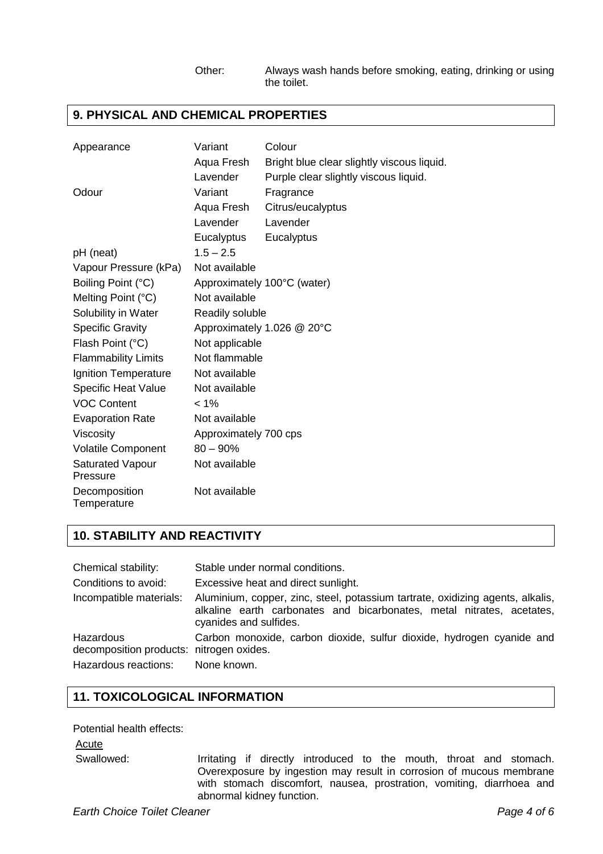#### Other: Always wash hands before smoking, eating, drinking or using the toilet.

## **9. PHYSICAL AND CHEMICAL PROPERTIES**

| Appearance                          | Variant               | Colour                                     |
|-------------------------------------|-----------------------|--------------------------------------------|
|                                     | Aqua Fresh            | Bright blue clear slightly viscous liquid. |
|                                     | Lavender              | Purple clear slightly viscous liquid.      |
| Odour                               | Variant               | Fragrance                                  |
|                                     | Aqua Fresh            | Citrus/eucalyptus                          |
|                                     | Lavender              | Lavender                                   |
|                                     | Eucalyptus            | Eucalyptus                                 |
| pH (neat)                           | $1.5 - 2.5$           |                                            |
| Vapour Pressure (kPa)               | Not available         |                                            |
| Boiling Point (°C)                  |                       | Approximately 100°C (water)                |
| Melting Point (°C)                  | Not available         |                                            |
| Solubility in Water                 | Readily soluble       |                                            |
| <b>Specific Gravity</b>             |                       | Approximately 1.026 @ 20°C                 |
| Flash Point (°C)                    | Not applicable        |                                            |
| <b>Flammability Limits</b>          | Not flammable         |                                            |
| Ignition Temperature                | Not available         |                                            |
| <b>Specific Heat Value</b>          | Not available         |                                            |
| <b>VOC Content</b>                  | $< 1\%$               |                                            |
| <b>Evaporation Rate</b>             | Not available         |                                            |
| Viscosity                           | Approximately 700 cps |                                            |
| <b>Volatile Component</b>           | $80 - 90\%$           |                                            |
| <b>Saturated Vapour</b><br>Pressure | Not available         |                                            |
| Decomposition<br>Temperature        | Not available         |                                            |

## **10. STABILITY AND REACTIVITY**

| Chemical stability:                                                                       | Stable under normal conditions.                                                                                                                                                   |
|-------------------------------------------------------------------------------------------|-----------------------------------------------------------------------------------------------------------------------------------------------------------------------------------|
| Conditions to avoid:                                                                      | Excessive heat and direct sunlight.                                                                                                                                               |
| Incompatible materials:                                                                   | Aluminium, copper, zinc, steel, potassium tartrate, oxidizing agents, alkalis,<br>alkaline earth carbonates and bicarbonates, metal nitrates, acetates,<br>cyanides and sulfides. |
| Hazardous<br>decomposition products: nitrogen oxides.<br>Hazardous reactions: None known. | Carbon monoxide, carbon dioxide, sulfur dioxide, hydrogen cyanide and                                                                                                             |

# **11. TOXICOLOGICAL INFORMATION**

Potential health effects:

Acute

Swallowed: Irritating if directly introduced to the mouth, throat and stomach. Overexposure by ingestion may result in corrosion of mucous membrane with stomach discomfort, nausea, prostration, vomiting, diarrhoea and abnormal kidney function.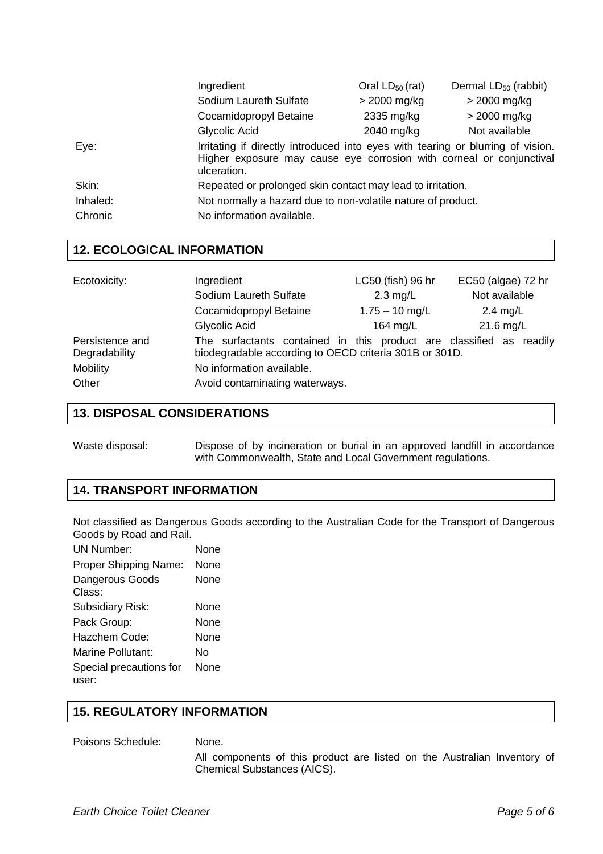|          | Ingredient                                                                                                                                                             | Oral $LD_{50}$ (rat) | Dermal $LD_{50}$ (rabbit) |
|----------|------------------------------------------------------------------------------------------------------------------------------------------------------------------------|----------------------|---------------------------|
|          | Sodium Laureth Sulfate                                                                                                                                                 | $>$ 2000 mg/kg       | $>$ 2000 mg/kg            |
|          | Cocamidopropyl Betaine                                                                                                                                                 | 2335 mg/kg           | $>$ 2000 mg/kg            |
|          | Glycolic Acid                                                                                                                                                          | 2040 mg/kg           | Not available             |
| Eye:     | Irritating if directly introduced into eyes with tearing or blurring of vision.<br>Higher exposure may cause eye corrosion with corneal or conjunctival<br>ulceration. |                      |                           |
| Skin:    | Repeated or prolonged skin contact may lead to irritation.                                                                                                             |                      |                           |
| Inhaled: | Not normally a hazard due to non-volatile nature of product.                                                                                                           |                      |                           |
| Chronic  | No information available.                                                                                                                                              |                      |                           |

#### **12. ECOLOGICAL INFORMATION**

| Ecotoxicity:                     | Ingredient                                                                                                                    | LC50 (fish) 96 hr  | EC50 (algae) 72 hr |
|----------------------------------|-------------------------------------------------------------------------------------------------------------------------------|--------------------|--------------------|
|                                  | Sodium Laureth Sulfate                                                                                                        | $2.3 \text{ mg/L}$ | Not available      |
|                                  | Cocamidopropyl Betaine                                                                                                        | $1.75 - 10$ mg/L   | $2.4$ mg/L         |
|                                  | Glycolic Acid                                                                                                                 | 164 $mg/L$         | $21.6$ mg/L        |
| Persistence and<br>Degradability | The surfactants contained in this product are classified as readily<br>biodegradable according to OECD criteria 301B or 301D. |                    |                    |
| Mobility                         | No information available.                                                                                                     |                    |                    |
| Other                            | Avoid contaminating waterways.                                                                                                |                    |                    |

#### **13. DISPOSAL CONSIDERATIONS**

Waste disposal: Dispose of by incineration or burial in an approved landfill in accordance with Commonwealth, State and Local Government regulations.

# **14. TRANSPORT INFORMATION**

Not classified as Dangerous Goods according to the Australian Code for the Transport of Dangerous Goods by Road and Rail.

| <b>UN Number:</b>                | None |
|----------------------------------|------|
| Proper Shipping Name:            | None |
| <b>Dangerous Goods</b><br>Class: | None |
| <b>Subsidiary Risk:</b>          | None |
| Pack Group:                      | None |
| Hazchem Code:                    | None |
| Marine Pollutant:                | N٥   |
| Special precautions for<br>user: | None |
|                                  |      |

## **15. REGULATORY INFORMATION**

#### Poisons Schedule: None.

 All components of this product are listed on the Australian Inventory of Chemical Substances (AICS).